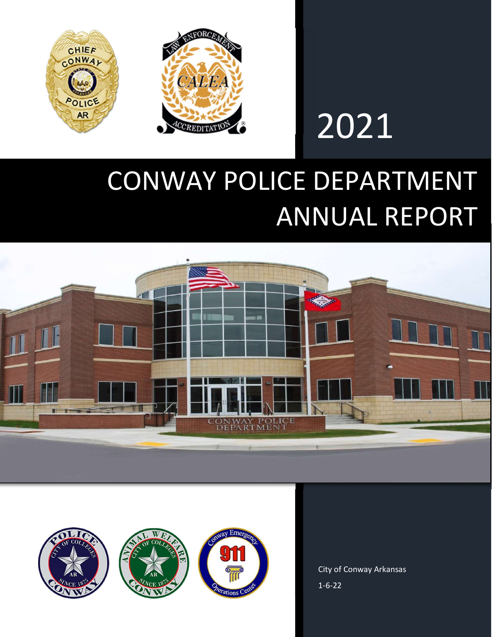

# 2021

## CONWAY POLICE DEPARTMENT ANNUAL REPORT





City of Conway Arkansas 1-6-22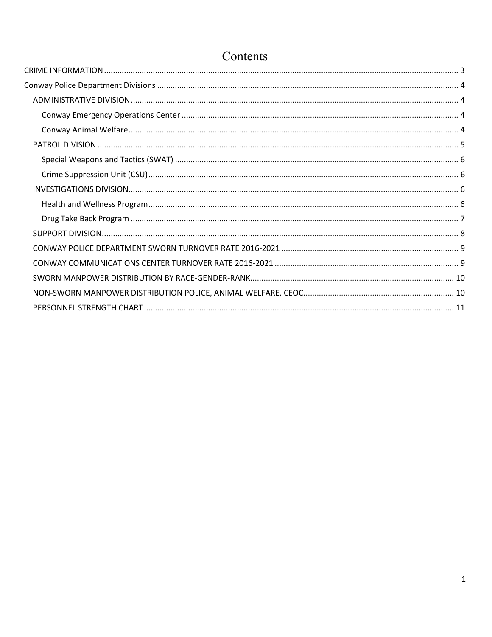## Contents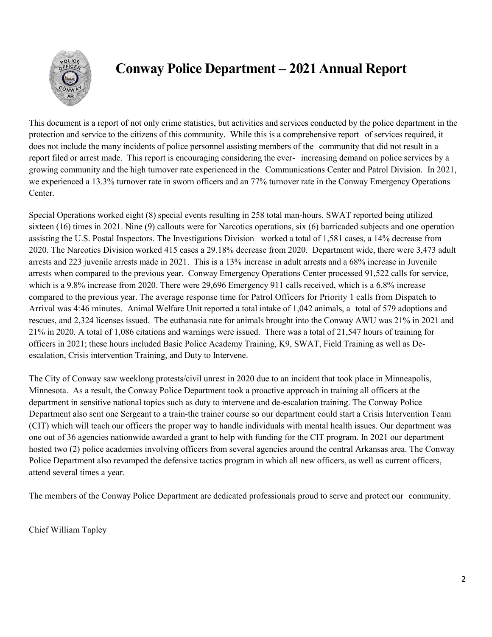

This document is a report of not only crime statistics, but activities and services conducted by the police department in the protection and service to the citizens of this community. While this is a comprehensive report of services required, it does not include the many incidents of police personnel assisting members of the community that did not result in a report filed or arrest made. This report is encouraging considering the ever- increasing demand on police services by a growing community and the high turnover rate experienced in the Communications Center and Patrol Division. In 2021, we experienced a 13.3% turnover rate in sworn officers and an 77% turnover rate in the Conway Emergency Operations Center.

Special Operations worked eight (8) special events resulting in 258 total man-hours. SWAT reported being utilized sixteen (16) times in 2021. Nine (9) callouts were for Narcotics operations, six (6) barricaded subjects and one operation assisting the U.S. Postal Inspectors. The Investigations Division worked a total of 1,581 cases, a 14% decrease from 2020. The Narcotics Division worked 415 cases a 29.18% decrease from 2020. Department wide, there were 3,473 adult arrests and 223 juvenile arrests made in 2021. This is a 13% increase in adult arrests and a 68% increase in Juvenile arrests when compared to the previous year. Conway Emergency Operations Center processed 91,522 calls for service, which is a 9.8% increase from 2020. There were 29,696 Emergency 911 calls received, which is a 6.8% increase compared to the previous year. The average response time for Patrol Officers for Priority 1 calls from Dispatch to Arrival was 4:46 minutes. Animal Welfare Unit reported a total intake of 1,042 animals, a total of 579 adoptions and rescues, and 2,324 licenses issued. The euthanasia rate for animals brought into the Conway AWU was 21% in 2021 and 21% in 2020. A total of 1,086 citations and warnings were issued. There was a total of 21,547 hours of training for officers in 2021; these hours included Basic Police Academy Training, K9, SWAT, Field Training as well as Deescalation, Crisis intervention Training, and Duty to Intervene.

The City of Conway saw weeklong protests/civil unrest in 2020 due to an incident that took place in Minneapolis, Minnesota. As a result, the Conway Police Department took a proactive approach in training all officers at the department in sensitive national topics such as duty to intervene and de-escalation training. The Conway Police Department also sent one Sergeant to a train-the trainer course so our department could start a Crisis Intervention Team (CIT) which will teach our officers the proper way to handle individuals with mental health issues. Our department was one out of 36 agencies nationwide awarded a grant to help with funding for the CIT program. In 2021 our department hosted two (2) police academies involving officers from several agencies around the central Arkansas area. The Conway Police Department also revamped the defensive tactics program in which all new officers, as well as current officers, attend several times a year.

The members of the Conway Police Department are dedicated professionals proud to serve and protect our community.

Chief William Tapley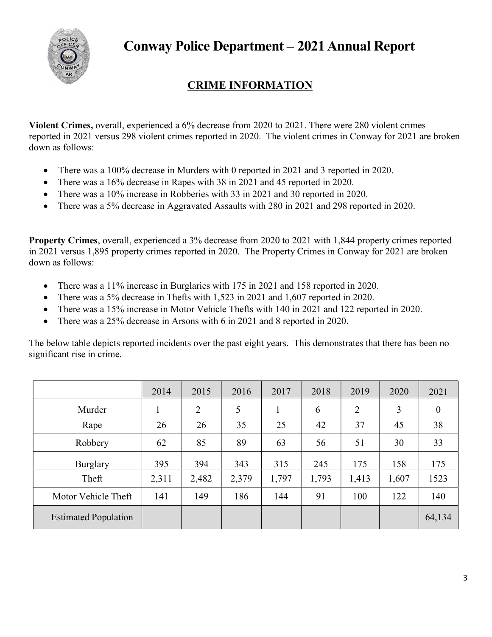

### CRIME INFORMATION

Violent Crimes, overall, experienced a 6% decrease from 2020 to 2021. There were 280 violent crimes reported in 2021 versus 298 violent crimes reported in 2020. The violent crimes in Conway for 2021 are broken down as follows:

- There was a 100% decrease in Murders with 0 reported in 2021 and 3 reported in 2020.
- There was a 16% decrease in Rapes with 38 in 2021 and 45 reported in 2020.
- There was a 10% increase in Robberies with 33 in 2021 and 30 reported in 2020.
- There was a 5% decrease in Aggravated Assaults with 280 in 2021 and 298 reported in 2020.

Property Crimes, overall, experienced a 3% decrease from 2020 to 2021 with 1,844 property crimes reported in 2021 versus 1,895 property crimes reported in 2020. The Property Crimes in Conway for 2021 are broken down as follows:

- There was a 11% increase in Burglaries with 175 in 2021 and 158 reported in 2020.
- There was a 5% decrease in Thefts with 1,523 in 2021 and 1,607 reported in 2020.
- There was a 15% increase in Motor Vehicle Thefts with 140 in 2021 and 122 reported in 2020.
- There was a 25% decrease in Arsons with 6 in 2021 and 8 reported in 2020.

The below table depicts reported incidents over the past eight years. This demonstrates that there has been no significant rise in crime.

|                             | 2014  | 2015  | 2016  | 2017  | 2018  | 2019  | 2020  | 2021     |
|-----------------------------|-------|-------|-------|-------|-------|-------|-------|----------|
| Murder                      |       | 2     | 5     | 1     | 6     | 2     | 3     | $\theta$ |
| Rape                        | 26    | 26    | 35    | 25    | 42    | 37    | 45    | 38       |
| Robbery                     | 62    | 85    | 89    | 63    | 56    | 51    | 30    | 33       |
| Burglary                    | 395   | 394   | 343   | 315   | 245   | 175   | 158   | 175      |
| Theft                       | 2,311 | 2,482 | 2,379 | 1,797 | 1,793 | 1,413 | 1,607 | 1523     |
| Motor Vehicle Theft         | 141   | 149   | 186   | 144   | 91    | 100   | 122   | 140      |
| <b>Estimated Population</b> |       |       |       |       |       |       |       | 64,134   |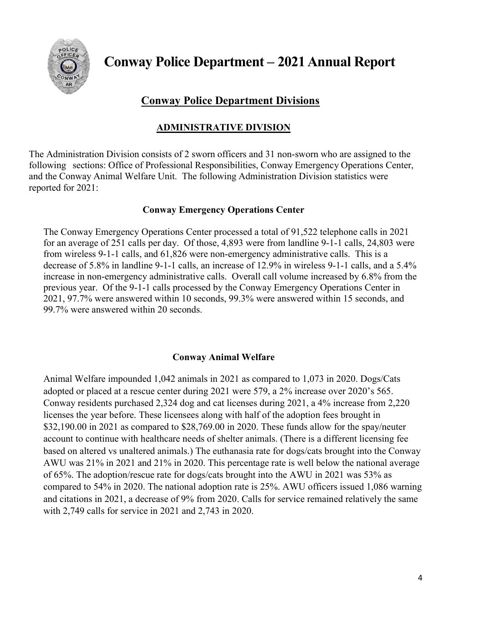

#### Conway Police Department Divisions

#### ADMINISTRATIVE DIVISION

The Administration Division consists of 2 sworn officers and 31 non-sworn who are assigned to the following sections: Office of Professional Responsibilities, Conway Emergency Operations Center, and the Conway Animal Welfare Unit. The following Administration Division statistics were reported for 2021:

#### Conway Emergency Operations Center

The Conway Emergency Operations Center processed a total of 91,522 telephone calls in 2021 for an average of 251 calls per day. Of those, 4,893 were from landline 9-1-1 calls, 24,803 were from wireless 9-1-1 calls, and 61,826 were non-emergency administrative calls. This is a decrease of 5.8% in landline 9-1-1 calls, an increase of 12.9% in wireless 9-1-1 calls, and a 5.4% increase in non-emergency administrative calls. Overall call volume increased by 6.8% from the previous year. Of the 9-1-1 calls processed by the Conway Emergency Operations Center in 2021, 97.7% were answered within 10 seconds, 99.3% were answered within 15 seconds, and 99.7% were answered within 20 seconds.

#### Conway Animal Welfare

Animal Welfare impounded 1,042 animals in 2021 as compared to 1,073 in 2020. Dogs/Cats adopted or placed at a rescue center during 2021 were 579, a 2% increase over 2020's 565. Conway residents purchased 2,324 dog and cat licenses during 2021, a 4% increase from 2,220 licenses the year before. These licensees along with half of the adoption fees brought in \$32,190.00 in 2021 as compared to \$28,769.00 in 2020. These funds allow for the spay/neuter account to continue with healthcare needs of shelter animals. (There is a different licensing fee based on altered vs unaltered animals.) The euthanasia rate for dogs/cats brought into the Conway AWU was 21% in 2021 and 21% in 2020. This percentage rate is well below the national average of 65%. The adoption/rescue rate for dogs/cats brought into the AWU in 2021 was 53% as compared to 54% in 2020. The national adoption rate is 25%. AWU officers issued 1,086 warning and citations in 2021, a decrease of 9% from 2020. Calls for service remained relatively the same with 2,749 calls for service in 2021 and 2,743 in 2020.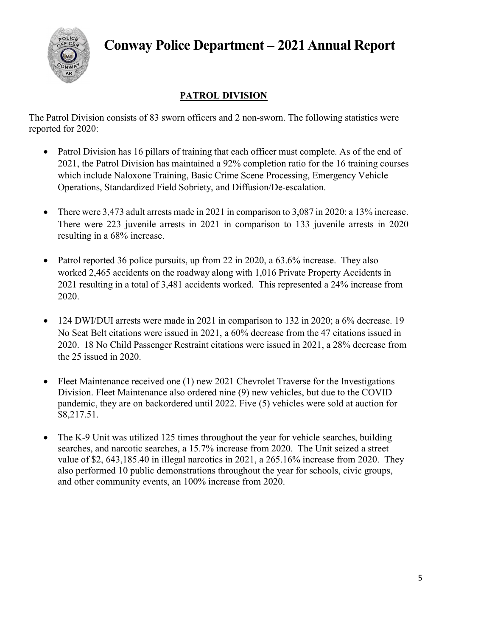

#### PATROL DIVISION

The Patrol Division consists of 83 sworn officers and 2 non-sworn. The following statistics were reported for 2020:

- Patrol Division has 16 pillars of training that each officer must complete. As of the end of 2021, the Patrol Division has maintained a 92% completion ratio for the 16 training courses which include Naloxone Training, Basic Crime Scene Processing, Emergency Vehicle Operations, Standardized Field Sobriety, and Diffusion/De-escalation.
- There were 3,473 adult arrests made in 2021 in comparison to 3,087 in 2020: a 13% increase. There were 223 juvenile arrests in 2021 in comparison to 133 juvenile arrests in 2020 resulting in a 68% increase.
- Patrol reported 36 police pursuits, up from 22 in 2020, a 63.6% increase. They also worked 2,465 accidents on the roadway along with 1,016 Private Property Accidents in 2021 resulting in a total of 3,481 accidents worked. This represented a 24% increase from 2020.
- 124 DWI/DUI arrests were made in 2021 in comparison to 132 in 2020; a 6% decrease. 19 No Seat Belt citations were issued in 2021, a 60% decrease from the 47 citations issued in 2020. 18 No Child Passenger Restraint citations were issued in 2021, a 28% decrease from the 25 issued in 2020.
- Fleet Maintenance received one (1) new 2021 Chevrolet Traverse for the Investigations Division. Fleet Maintenance also ordered nine (9) new vehicles, but due to the COVID pandemic, they are on backordered until 2022. Five (5) vehicles were sold at auction for \$8,217.51.
- The K-9 Unit was utilized 125 times throughout the year for vehicle searches, building searches, and narcotic searches, a 15.7% increase from 2020. The Unit seized a street value of \$2, 643,185.40 in illegal narcotics in 2021, a 265.16% increase from 2020. They also performed 10 public demonstrations throughout the year for schools, civic groups, and other community events, an 100% increase from 2020.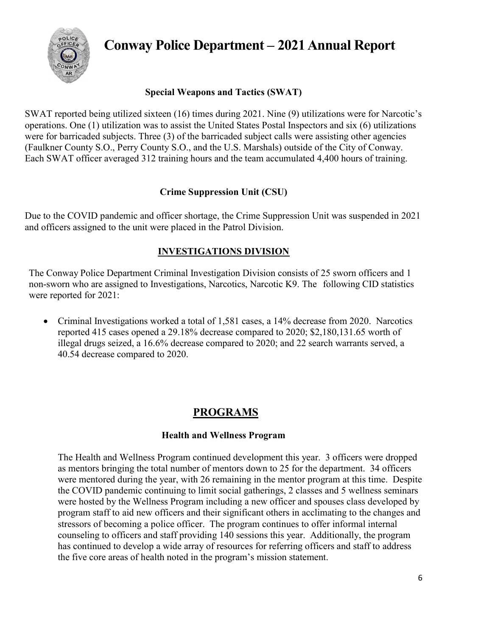

#### Special Weapons and Tactics (SWAT)

SWAT reported being utilized sixteen (16) times during 2021. Nine (9) utilizations were for Narcotic's operations. One (1) utilization was to assist the United States Postal Inspectors and six (6) utilizations were for barricaded subjects. Three (3) of the barricaded subject calls were assisting other agencies (Faulkner County S.O., Perry County S.O., and the U.S. Marshals) outside of the City of Conway. Each SWAT officer averaged 312 training hours and the team accumulated 4,400 hours of training.

#### Crime Suppression Unit (CSU)

Due to the COVID pandemic and officer shortage, the Crime Suppression Unit was suspended in 2021 and officers assigned to the unit were placed in the Patrol Division.

#### INVESTIGATIONS DIVISION

The Conway Police Department Criminal Investigation Division consists of 25 sworn officers and 1 non-sworn who are assigned to Investigations, Narcotics, Narcotic K9. The following CID statistics were reported for 2021:

• Criminal Investigations worked a total of 1,581 cases, a 14% decrease from 2020. Narcotics reported 415 cases opened a 29.18% decrease compared to 2020; \$2,180,131.65 worth of illegal drugs seized, a 16.6% decrease compared to 2020; and 22 search warrants served, a 40.54 decrease compared to 2020.

#### PROGRAMS

#### Health and Wellness Program

The Health and Wellness Program continued development this year. 3 officers were dropped as mentors bringing the total number of mentors down to 25 for the department. 34 officers were mentored during the year, with 26 remaining in the mentor program at this time. Despite the COVID pandemic continuing to limit social gatherings, 2 classes and 5 wellness seminars were hosted by the Wellness Program including a new officer and spouses class developed by program staff to aid new officers and their significant others in acclimating to the changes and stressors of becoming a police officer. The program continues to offer informal internal counseling to officers and staff providing 140 sessions this year. Additionally, the program has continued to develop a wide array of resources for referring officers and staff to address the five core areas of health noted in the program's mission statement.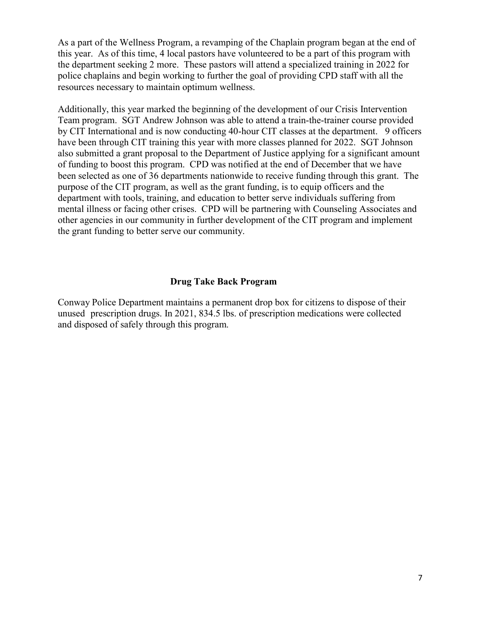As a part of the Wellness Program, a revamping of the Chaplain program began at the end of this year. As of this time, 4 local pastors have volunteered to be a part of this program with the department seeking 2 more. These pastors will attend a specialized training in 2022 for police chaplains and begin working to further the goal of providing CPD staff with all the resources necessary to maintain optimum wellness.

Additionally, this year marked the beginning of the development of our Crisis Intervention Team program. SGT Andrew Johnson was able to attend a train-the-trainer course provided by CIT International and is now conducting 40-hour CIT classes at the department. 9 officers have been through CIT training this year with more classes planned for 2022. SGT Johnson also submitted a grant proposal to the Department of Justice applying for a significant amount of funding to boost this program. CPD was notified at the end of December that we have been selected as one of 36 departments nationwide to receive funding through this grant. The purpose of the CIT program, as well as the grant funding, is to equip officers and the department with tools, training, and education to better serve individuals suffering from mental illness or facing other crises. CPD will be partnering with Counseling Associates and other agencies in our community in further development of the CIT program and implement the grant funding to better serve our community.

#### Drug Take Back Program

Conway Police Department maintains a permanent drop box for citizens to dispose of their unused prescription drugs. In 2021, 834.5 lbs. of prescription medications were collected and disposed of safely through this program.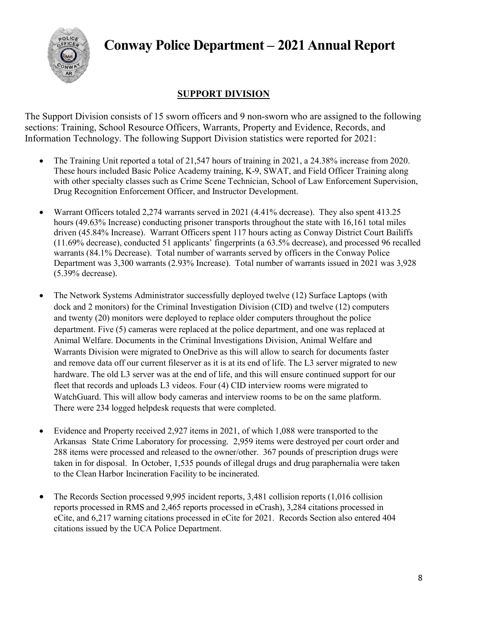

#### SUPPORT DIVISION

The Support Division consists of 15 sworn officers and 9 non-sworn who are assigned to the following sections: Training, School Resource Officers, Warrants, Property and Evidence, Records, and Information Technology. The following Support Division statistics were reported for 2021:

- The Training Unit reported a total of 21,547 hours of training in 2021, a 24.38% increase from 2020. These hours included Basic Police Academy training, K-9, SWAT, and Field Officer Training along with other specialty classes such as Crime Scene Technician, School of Law Enforcement Supervision, Drug Recognition Enforcement Officer, and Instructor Development.
- Warrant Officers totaled 2,274 warrants served in 2021 (4.41% decrease). They also spent 413.25 hours (49.63% Increase) conducting prisoner transports throughout the state with 16,161 total miles driven (45.84% Increase). Warrant Officers spent 117 hours acting as Conway District Court Bailiffs (11.69% decrease), conducted 51 applicants' fingerprints (a 63.5% decrease), and processed 96 recalled warrants (84.1% Decrease). Total number of warrants served by officers in the Conway Police Department was 3,300 warrants (2.93% Increase). Total number of warrants issued in 2021 was 3,928 (5.39% decrease).
- The Network Systems Administrator successfully deployed twelve (12) Surface Laptops (with dock and 2 monitors) for the Criminal Investigation Division (CID) and twelve (12) computers and twenty (20) monitors were deployed to replace older computers throughout the police department. Five (5) cameras were replaced at the police department, and one was replaced at Animal Welfare. Documents in the Criminal Investigations Division, Animal Welfare and Warrants Division were migrated to OneDrive as this will allow to search for documents faster and remove data off our current fileserver as it is at its end of life. The L3 server migrated to new hardware. The old L3 server was at the end of life, and this will ensure continued support for our fleet that records and uploads L3 videos. Four (4) CID interview rooms were migrated to WatchGuard. This will allow body cameras and interview rooms to be on the same platform. There were 234 logged helpdesk requests that were completed.
- Evidence and Property received 2,927 items in 2021, of which 1,088 were transported to the Arkansas State Crime Laboratory for processing. 2,959 items were destroyed per court order and 288 items were processed and released to the owner/other. 367 pounds of prescription drugs were taken in for disposal. In October, 1,535 pounds of illegal drugs and drug paraphernalia were taken to the Clean Harbor Incineration Facility to be incinerated.
- The Records Section processed 9,995 incident reports, 3,481 collision reports (1,016 collision reports processed in RMS and 2,465 reports processed in eCrash), 3,284 citations processed in eCite, and 6,217 warning citations processed in eCite for 2021. Records Section also entered 404 citations issued by the UCA Police Department.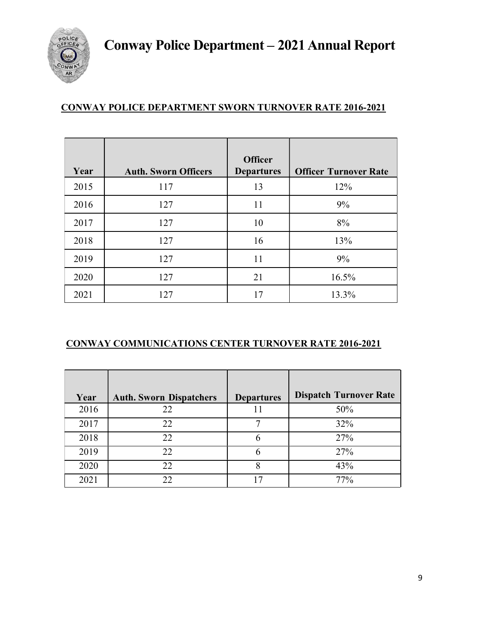

#### CONWAY POLICE DEPARTMENT SWORN TURNOVER RATE 2016-2021

|      |                             | <b>Officer</b>    |                              |
|------|-----------------------------|-------------------|------------------------------|
| Year | <b>Auth. Sworn Officers</b> | <b>Departures</b> | <b>Officer Turnover Rate</b> |
| 2015 | 117                         | 13                | 12%                          |
| 2016 | 127                         | 11                | 9%                           |
| 2017 | 127                         | 10                | 8%                           |
| 2018 | 127                         | 16                | 13%                          |
| 2019 | 127                         | 11                | 9%                           |
| 2020 | 127                         | 21                | 16.5%                        |
| 2021 | 127                         | 17                | 13.3%                        |

#### CONWAY COMMUNICATIONS CENTER TURNOVER RATE 2016-2021

| Year | <b>Auth. Sworn Dispatchers</b> | <b>Departures</b> | <b>Dispatch Turnover Rate</b> |
|------|--------------------------------|-------------------|-------------------------------|
| 2016 | 22                             |                   | 50%                           |
| 2017 | 22                             |                   | 32%                           |
| 2018 | 22                             |                   | 27%                           |
| 2019 | 22                             |                   | 27%                           |
| 2020 | 22                             | O                 | 43%                           |
| 2021 |                                |                   | 77%                           |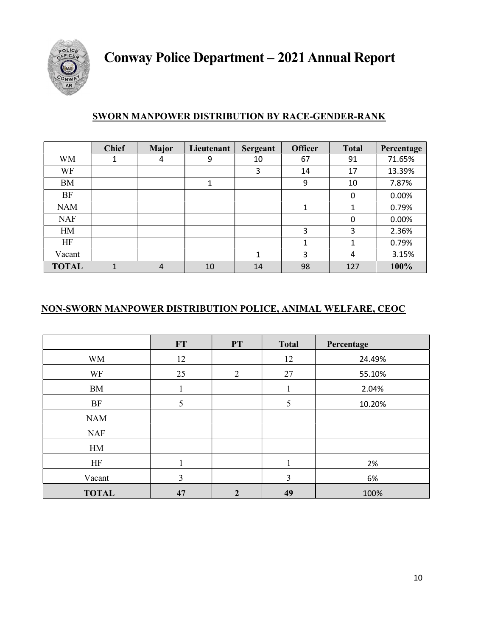

#### SWORN MANPOWER DISTRIBUTION BY RACE-GENDER-RANK

|              | <b>Chief</b> | <b>Major</b> | Lieutenant | Sergeant | <b>Officer</b> | <b>Total</b> | Percentage |
|--------------|--------------|--------------|------------|----------|----------------|--------------|------------|
| <b>WM</b>    | 1            | 4            | 9          | 10       | 67             | 91           | 71.65%     |
| WF           |              |              |            | 3        | 14             | 17           | 13.39%     |
| BM           |              |              | 1          |          | 9              | 10           | 7.87%      |
| BF           |              |              |            |          |                | 0            | 0.00%      |
| <b>NAM</b>   |              |              |            |          |                | 1            | 0.79%      |
| <b>NAF</b>   |              |              |            |          |                | 0            | 0.00%      |
| HM           |              |              |            |          | 3              | 3            | 2.36%      |
| HF           |              |              |            |          | 1              | 1            | 0.79%      |
| Vacant       |              |              |            |          | 3              | 4            | 3.15%      |
| <b>TOTAL</b> | 1            | 4            | 10         | 14       | 98             | 127          | 100%       |

#### NON-SWORN MANPOWER DISTRIBUTION POLICE, ANIMAL WELFARE, CEOC

|              | <b>FT</b> | <b>PT</b>      | <b>Total</b> | Percentage |
|--------------|-----------|----------------|--------------|------------|
| <b>WM</b>    | 12        |                | 12           | 24.49%     |
| WF           | 25        | 2              | 27           | 55.10%     |
| <b>BM</b>    |           |                |              | 2.04%      |
| <b>BF</b>    | 5         |                | 5            | 10.20%     |
| <b>NAM</b>   |           |                |              |            |
| <b>NAF</b>   |           |                |              |            |
| HM           |           |                |              |            |
| HF           |           |                |              | 2%         |
| Vacant       | 3         |                | 3            | 6%         |
| <b>TOTAL</b> | 47        | $\mathfrak{D}$ | 49           | 100%       |